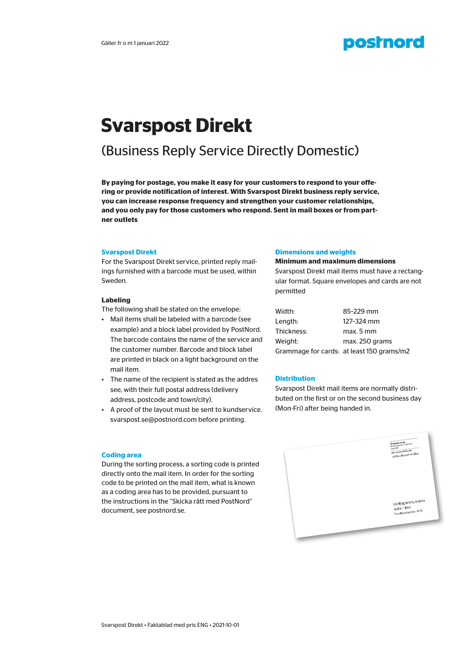## **postnord**

# **Svarspost Direkt**

## (Business Reply Service Directly Domestic)

**By paying for postage, you make it easy for your customers to respond to your offering or provide notification of interest. With Svarspost Direkt business reply service, you can increase response frequency and strengthen your customer relationships, and you only pay for those customers who respond. Sent in mail boxes or from partner outlets**

#### **Svarspost Direkt**

**Bidispost Direkt**<br>For the Svarspost Direkt service, printed reply mailings furnished with a barcode must be used, within Sweden.

#### **Labeling**

The following shall be stated on the envelope:

- Example) and a block label provided by PostNord.<br>The barcode contains the name of the service and<br>the sustainancements in Paractle and black label. **Genom att bjuda på portot gör du det enkelt för dina kunder att svara på**  • Mail items shall be labeled with a barcode (see example) and a block label provided by PostNord. the customer number. Barcode and block label are printed in black on a light background on the mail item.
- The name of the recipient is stated as the addres **Distribution** see, with their full postal address (delivery Svarspost Direkt mail items are r address, postcode and town/city). **Example:** buted on the first or on the
- A proof of the layout must be sent to kundservice. svarspost.se@postnord.com before printing.

#### **Dimensions and weights**

#### **Minimum and maximum dimensions**

Svarspost Direkt mail items must have a rectangular format. Square envelopes and cards are not permitted

| Width:     | 85-229 mm                                 |
|------------|-------------------------------------------|
| Lenath:    | 127-324 mm                                |
| Thickness: | max. 5 mm                                 |
| Weiaht:    | max. 250 grams                            |
|            | Grammage for cards: at least 150 grams/m2 |

#### **Distribution**

Svarspost Direkt mail items are normally distributed on the first or on the second business day (Mon-Fri) after being handed in.



### **Coding area**

directly onto the mail item. In order for the sorting code to be printed on the mail item, what is known as a county area has to be provided, parsaant to<br>the instructions in the "Skicka rätt med PostNord" endigt kliche som finns att hämta på postnord.<br>document, see postnord.se. samt streek exempel tillhandelse exempel og exempel tillhandelse exempel og exempel tillhandelse exempel. I so During the sorting process, a sorting code is printed as a coding area has to be provided, pursuant to